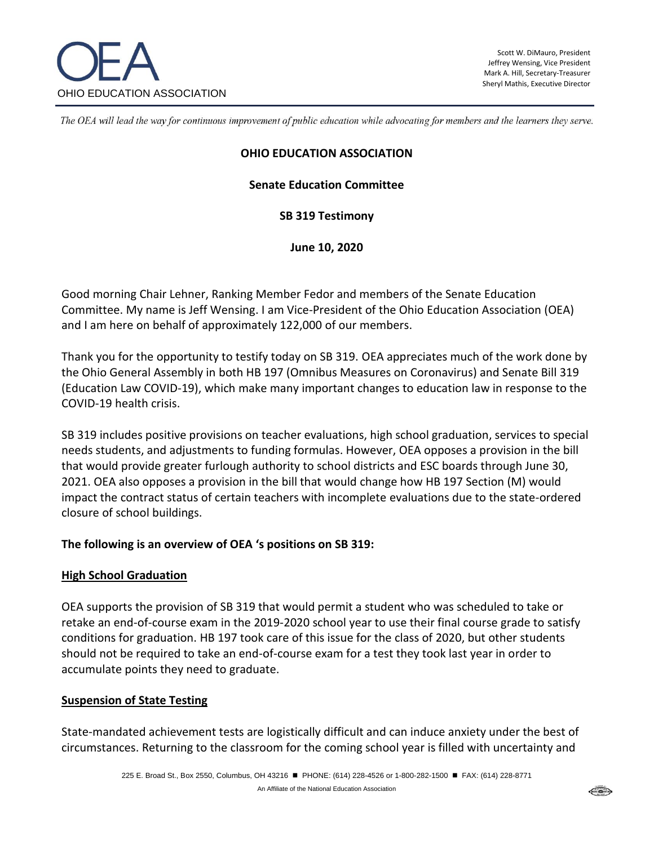

The OEA will lead the way for continuous improvement of public education while advocating for members and the learners they serve.

#### **OHIO EDUCATION ASSOCIATION**

### **Senate Education Committee**

**SB 319 Testimony**

**June 10, 2020**

Good morning Chair Lehner, Ranking Member Fedor and members of the Senate Education Committee. My name is Jeff Wensing. I am Vice-President of the Ohio Education Association (OEA) and I am here on behalf of approximately 122,000 of our members.

Thank you for the opportunity to testify today on SB 319. OEA appreciates much of the work done by the Ohio General Assembly in both HB 197 (Omnibus Measures on Coronavirus) and Senate Bill 319 (Education Law COVID-19), which make many important changes to education law in response to the COVID-19 health crisis.

SB 319 includes positive provisions on teacher evaluations, high school graduation, services to special needs students, and adjustments to funding formulas. However, OEA opposes a provision in the bill that would provide greater furlough authority to school districts and ESC boards through June 30, 2021. OEA also opposes a provision in the bill that would change how HB 197 Section (M) would impact the contract status of certain teachers with incomplete evaluations due to the state-ordered closure of school buildings.

### **The following is an overview of OEA 's positions on SB 319:**

#### **High School Graduation**

OEA supports the provision of SB 319 that would permit a student who was scheduled to take or retake an end-of-course exam in the 2019-2020 school year to use their final course grade to satisfy conditions for graduation. HB 197 took care of this issue for the class of 2020, but other students should not be required to take an end-of-course exam for a test they took last year in order to accumulate points they need to graduate.

### **Suspension of State Testing**

State-mandated achievement tests are logistically difficult and can induce anxiety under the best of circumstances. Returning to the classroom for the coming school year is filled with uncertainty and

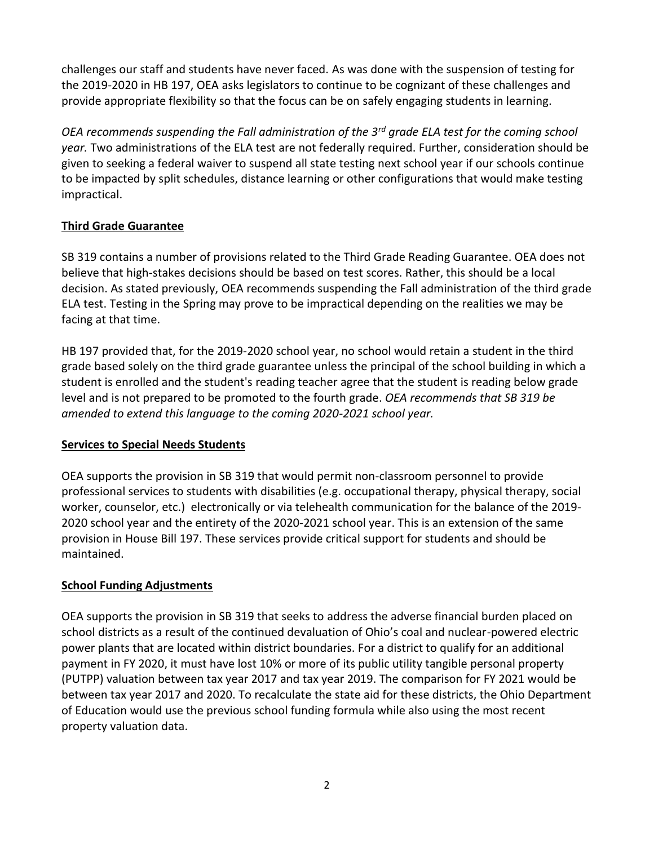challenges our staff and students have never faced. As was done with the suspension of testing for the 2019-2020 in HB 197, OEA asks legislators to continue to be cognizant of these challenges and provide appropriate flexibility so that the focus can be on safely engaging students in learning.

*OEA recommends suspending the Fall administration of the 3rd grade ELA test for the coming school year.* Two administrations of the ELA test are not federally required. Further, consideration should be given to seeking a federal waiver to suspend all state testing next school year if our schools continue to be impacted by split schedules, distance learning or other configurations that would make testing impractical.

# **Third Grade Guarantee**

SB 319 contains a number of provisions related to the Third Grade Reading Guarantee. OEA does not believe that high-stakes decisions should be based on test scores. Rather, this should be a local decision. As stated previously, OEA recommends suspending the Fall administration of the third grade ELA test. Testing in the Spring may prove to be impractical depending on the realities we may be facing at that time.

HB 197 provided that, for the 2019-2020 school year, no school would retain a student in the third grade based solely on the third grade guarantee unless the principal of the school building in which a student is enrolled and the student's reading teacher agree that the student is reading below grade level and is not prepared to be promoted to the fourth grade. *OEA recommends that SB 319 be amended to extend this language to the coming 2020-2021 school year.*

## **Services to Special Needs Students**

OEA supports the provision in SB 319 that would permit non-classroom personnel to provide professional services to students with disabilities (e.g. occupational therapy, physical therapy, social worker, counselor, etc.) electronically or via telehealth communication for the balance of the 2019- 2020 school year and the entirety of the 2020-2021 school year. This is an extension of the same provision in House Bill 197. These services provide critical support for students and should be maintained.

## **School Funding Adjustments**

OEA supports the provision in SB 319 that seeks to address the adverse financial burden placed on school districts as a result of the continued devaluation of Ohio's coal and nuclear-powered electric power plants that are located within district boundaries. For a district to qualify for an additional payment in FY 2020, it must have lost 10% or more of its public utility tangible personal property (PUTPP) valuation between tax year 2017 and tax year 2019. The comparison for FY 2021 would be between tax year 2017 and 2020. To recalculate the state aid for these districts, the Ohio Department of Education would use the previous school funding formula while also using the most recent property valuation data.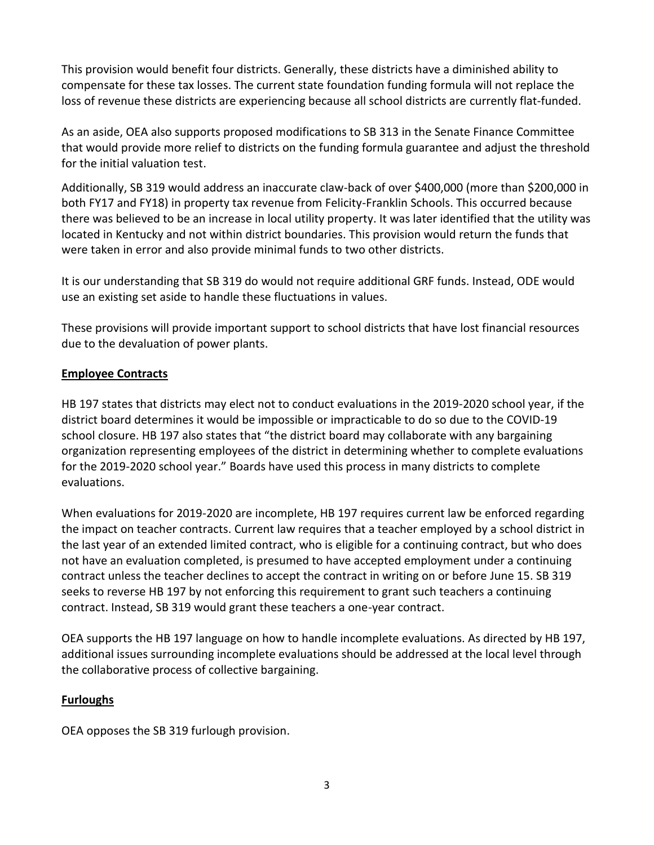This provision would benefit four districts. Generally, these districts have a diminished ability to compensate for these tax losses. The current state foundation funding formula will not replace the loss of revenue these districts are experiencing because all school districts are currently flat-funded.

As an aside, OEA also supports proposed modifications to SB 313 in the Senate Finance Committee that would provide more relief to districts on the funding formula guarantee and adjust the threshold for the initial valuation test.

Additionally, SB 319 would address an inaccurate claw-back of over \$400,000 (more than \$200,000 in both FY17 and FY18) in property tax revenue from Felicity-Franklin Schools. This occurred because there was believed to be an increase in local utility property. It was later identified that the utility was located in Kentucky and not within district boundaries. This provision would return the funds that were taken in error and also provide minimal funds to two other districts.

It is our understanding that SB 319 do would not require additional GRF funds. Instead, ODE would use an existing set aside to handle these fluctuations in values.

These provisions will provide important support to school districts that have lost financial resources due to the devaluation of power plants.

# **Employee Contracts**

HB 197 states that districts may elect not to conduct evaluations in the 2019-2020 school year, if the district board determines it would be impossible or impracticable to do so due to the COVID-19 school closure. HB 197 also states that "the district board may collaborate with any bargaining organization representing employees of the district in determining whether to complete evaluations for the 2019-2020 school year." Boards have used this process in many districts to complete evaluations.

When evaluations for 2019-2020 are incomplete, HB 197 requires current law be enforced regarding the impact on teacher contracts. Current law requires that a teacher employed by a school district in the last year of an extended limited contract, who is eligible for a continuing contract, but who does not have an evaluation completed, is presumed to have accepted employment under a continuing contract unless the teacher declines to accept the contract in writing on or before June 15. SB 319 seeks to reverse HB 197 by not enforcing this requirement to grant such teachers a continuing contract. Instead, SB 319 would grant these teachers a one-year contract.

OEA supports the HB 197 language on how to handle incomplete evaluations. As directed by HB 197, additional issues surrounding incomplete evaluations should be addressed at the local level through the collaborative process of collective bargaining.

## **Furloughs**

OEA opposes the SB 319 furlough provision.